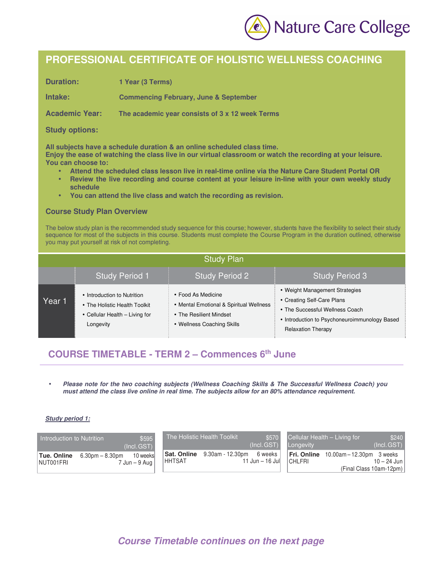

# **PROFESSIONAL CERTIFICATE OF HOLISTIC WELLNESS COACHING**

**Duration: 1 Year (3 Terms)** 

**Intake: Commencing February, June & September** 

**Academic Year: The academic year consists of 3 x 12 week Terms** 

### **Study options:**

**All subjects have a schedule duration & an online scheduled class time.** 

**Enjoy the ease of watching the class live in our virtual classroom or watch the recording at your leisure. You can choose to:** 

- **Attend the scheduled class lesson live in real-time online via the Nature Care Student Portal OR**
- **Review the live recording and course content at your leisure in-line with your own weekly study schedule**
- **You can attend the live class and watch the recording as revision.**

#### **Course Study Plan Overview**

The below study plan is the recommended study sequence for this course; however, students have the flexibility to select their study sequence for most of the subjects in this course. Students must complete the Course Program in the duration outlined, otherwise you may put yourself at risk of not completing.

| <b>Study Plan</b> |                                                                                                             |                                                                                                                        |                                                                                                                                                                               |  |  |  |
|-------------------|-------------------------------------------------------------------------------------------------------------|------------------------------------------------------------------------------------------------------------------------|-------------------------------------------------------------------------------------------------------------------------------------------------------------------------------|--|--|--|
|                   | <b>Study Period 1</b>                                                                                       | <b>Study Period 2</b>                                                                                                  | <b>Study Period 3</b>                                                                                                                                                         |  |  |  |
| Year 1            | • Introduction to Nutrition<br>• The Holistic Health Toolkit<br>• Cellular Health - Living for<br>Longevity | • Food As Medicine<br>• Mental Emotional & Spiritual Wellness<br>• The Resilient Mindset<br>• Wellness Coaching Skills | • Weight Management Strategies<br>• Creating Self-Care Plans<br>• The Successful Wellness Coach<br>• Introduction to Psychoneuroimmunology Based<br><b>Relaxation Therapy</b> |  |  |  |

### **COURSE TIMETABLE - TERM 2 – Commences 6th June**

• *Please note for the two coaching subjects (Wellness Coaching Skills & The Successful Wellness Coach) you must attend the class live online in real time. The subjects allow for an 80% attendance requirement.*

#### *Study period 1:*

| \$595<br>Introduction to Nutrition <sup>1</sup><br>(Incl.GST) | The Holistic Health Toolkit<br>\$570<br>(Incl.GST) | Cellular Health - Living for<br>\$240<br>(Incl. GST)<br>Longevity |
|---------------------------------------------------------------|----------------------------------------------------|-------------------------------------------------------------------|
| 10 weeks                                                      | Sat. Online                                        | 10.00am-12.30pm 3 weeks                                           |
| Tue. Online                                                   | 9.30am - 12.30pm                                   | Fri. Online                                                       |
| $6.30$ pm $- 8.30$ pm                                         | 6 weeks                                            | <b>CHLFRI</b>                                                     |
| NUT001FRI                                                     | <b>HHTSAT</b>                                      | 10 – 24 Jun I                                                     |
| $7$ Jun $-9$ Aug $\parallel$                                  | 11 Jun $-$ 16 Jul                                  | (Final Class 10am-12pm)                                           |

# *Course Timetable continues on the next page*